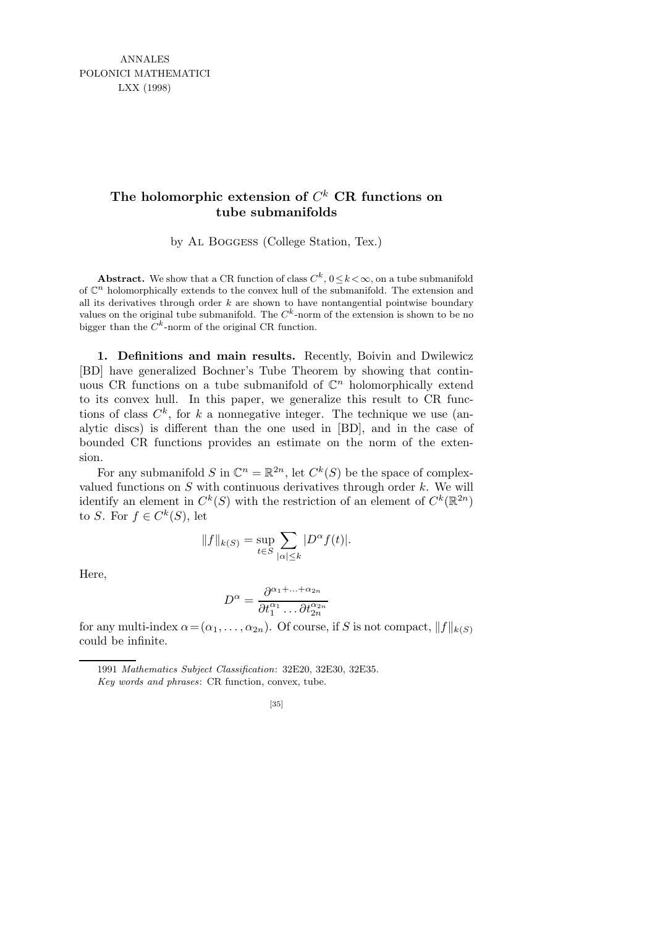ANNALES POLONICI MATHEMATICI LXX (1998)

## **The holomorphic extension of** *C <sup>k</sup>* **CR functions on tube submanifolds**

by Al Boggess (College Station, Tex.)

Abstract. We show that a CR function of class  $C^k$ ,  $0 \le k < \infty$ , on a tube submanifold of  $\mathbb{C}^n$  holomorphically extends to the convex hull of the submanifold. The extension and all its derivatives through order *k* are shown to have nontangential pointwise boundary values on the original tube submanifold. The  $C^k$ -norm of the extension is shown to be no bigger than the  $C^k$ -norm of the original CR function.

1. Definitions and main results. Recently, Boivin and Dwilewicz [BD] have generalized Bochner's Tube Theorem by showing that continuous CR functions on a tube submanifold of  $\mathbb{C}^n$  holomorphically extend to its convex hull. In this paper, we generalize this result to CR functions of class  $C^k$ , for k a nonnegative integer. The technique we use (analytic discs) is different than the one used in [BD], and in the case of bounded CR functions provides an estimate on the norm of the extension.

For any submanifold S in  $\mathbb{C}^n = \mathbb{R}^{2n}$ , let  $C^k(S)$  be the space of complexvalued functions on  $S$  with continuous derivatives through order  $k$ . We will identify an element in  $C^k(S)$  with the restriction of an element of  $C^k(\mathbb{R}^{2n})$ to S. For  $f \in C^k(S)$ , let

$$
||f||_{k(S)} = \sup_{t \in S} \sum_{|\alpha| \le k} |D^{\alpha} f(t)|.
$$

Here,

$$
D^{\alpha} = \frac{\partial^{\alpha_1 + \dots + \alpha_{2n}}}{\partial t_1^{\alpha_1} \dots \partial t_{2n}^{\alpha_{2n}}}
$$

for any multi-index  $\alpha = (\alpha_1, \ldots, \alpha_{2n})$ . Of course, if S is not compact,  $||f||_{k(S)}$ could be infinite.

<sup>1991</sup> *Mathematics Subject Classification*: 32E20, 32E30, 32E35.

*Key words and phrases*: CR function, convex, tube.

<sup>[35]</sup>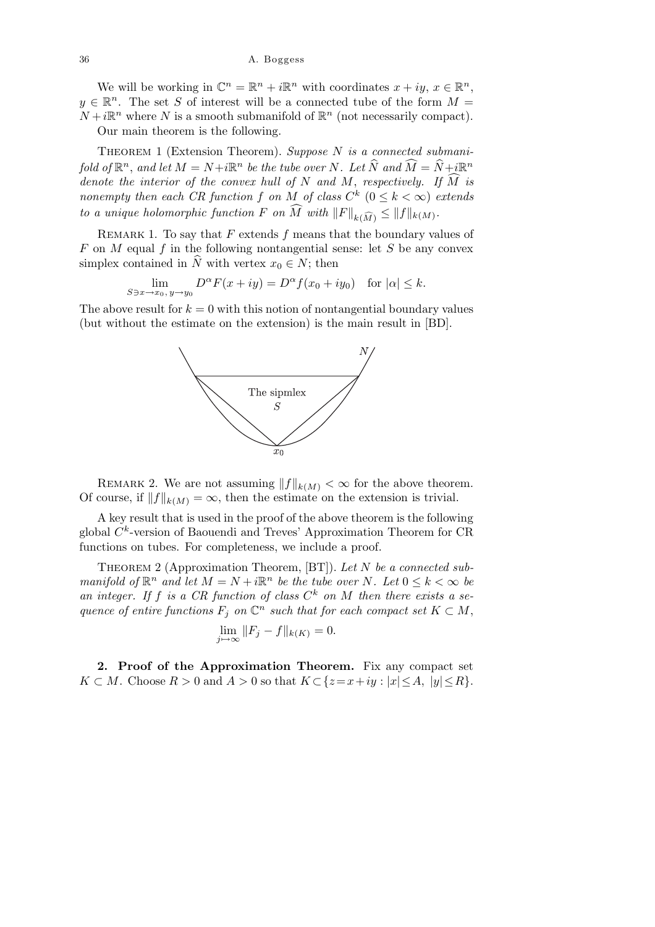We will be working in  $\mathbb{C}^n = \mathbb{R}^n + i\mathbb{R}^n$  with coordinates  $x + iy, x \in \mathbb{R}^n$ ,  $y \in \mathbb{R}^n$ . The set S of interest will be a connected tube of the form  $M =$  $N + i\mathbb{R}^n$  where N is a smooth submanifold of  $\mathbb{R}^n$  (not necessarily compact).

Our main theorem is the following.

THEOREM 1 (Extension Theorem). Suppose  $N$  is a connected submanifold of  $\mathbb{R}^n$ , and let  $M = N + i\mathbb{R}^n$  be the tube over N. Let  $\widehat{N}$  and  $\widehat{M} = \widehat{N} + i\mathbb{R}^n$ denote the interior of the convex hull of N and M, respectively. If  $\widehat{M}$  is nonempty then each CR function f on M of class  $C^k$   $(0 \leq k < \infty)$  extends to a unique holomorphic function F on M with  $||F||_{k(\widehat{M})} \leq ||f||_{k(M)}$ .

REMARK 1. To say that  $F$  extends  $f$  means that the boundary values of  $F$  on  $M$  equal  $f$  in the following nontangential sense: let  $S$  be any convex simplex contained in  $\hat{N}$  with vertex  $x_0 \in N$ ; then

$$
\lim_{S \ni x \to x_0, y \to y_0} D^{\alpha} F(x+iy) = D^{\alpha} f(x_0+iy_0) \text{ for } |\alpha| \le k.
$$

The above result for  $k = 0$  with this notion of nontangential boundary values (but without the estimate on the extension) is the main result in [BD].



REMARK 2. We are not assuming  $||f||_{k(M)} < \infty$  for the above theorem. Of course, if  $||f||_{k(M)} = \infty$ , then the estimate on the extension is trivial.

A key result that is used in the proof of the above theorem is the following global  $C<sup>k</sup>$ -version of Baouendi and Treves' Approximation Theorem for CR functions on tubes. For completeness, we include a proof.

THEOREM 2 (Approximation Theorem,  $[BT]$ ). Let N be a connected submanifold of  $\mathbb{R}^n$  and let  $M = N + i\mathbb{R}^n$  be the tube over N. Let  $0 \leq k < \infty$  be an integer. If f is a CR function of class  $C^k$  on M then there exists a sequence of entire functions  $F_j$  on  $\mathbb{C}^n$  such that for each compact set  $K \subset M$ ,

$$
\lim_{j \to \infty} ||F_j - f||_{k(K)} = 0.
$$

2. Proof of the Approximation Theorem. Fix any compact set  $K \subset M$ . Choose  $R > 0$  and  $A > 0$  so that  $K \subset \{z = x + iy : |x| \leq A, |y| \leq R\}.$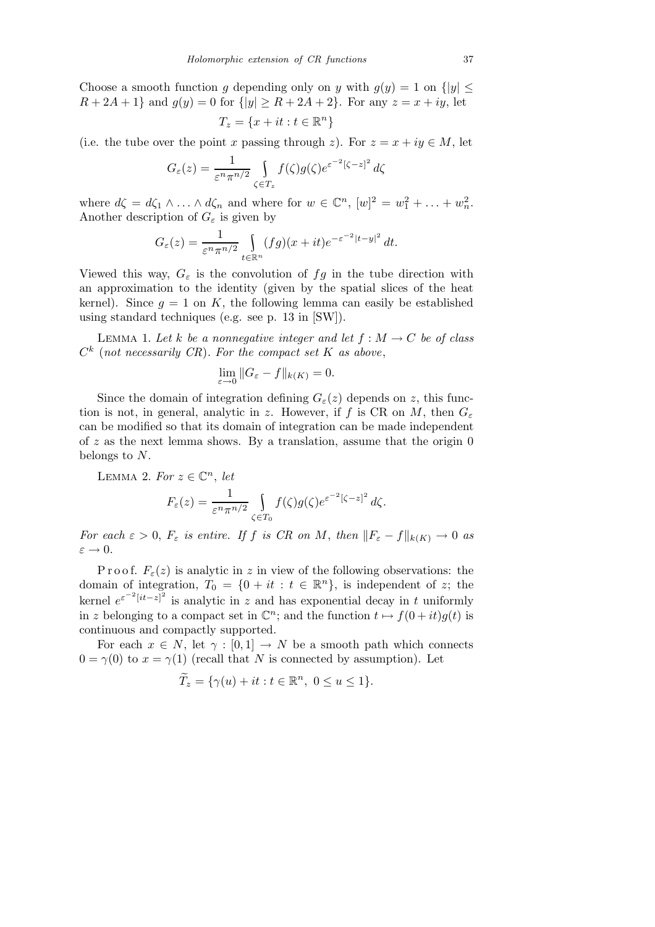Choose a smooth function g depending only on y with  $g(y) = 1$  on  $\{|y| \leq$  $R + 2A + 1$  and  $g(y) = 0$  for  $\{|y| \ge R + 2A + 2\}$ . For any  $z = x + iy$ , let

$$
T_z = \{x + it : t \in \mathbb{R}^n\}
$$

(i.e. the tube over the point x passing through z). For  $z = x + iy \in M$ , let

$$
G_{\varepsilon}(z) = \frac{1}{\varepsilon^n \pi^{n/2}} \int\limits_{\zeta \in T_z} f(\zeta) g(\zeta) e^{\varepsilon^{-2} [\zeta - z]^2} d\zeta
$$

where  $d\zeta = d\zeta_1 \wedge \ldots \wedge d\zeta_n$  and where for  $w \in \mathbb{C}^n$ ,  $[w]^2 = w_1^2 + \ldots + w_n^2$ . Another description of  $G_{\varepsilon}$  is given by

$$
G_{\varepsilon}(z) = \frac{1}{\varepsilon^n \pi^{n/2}} \int_{t \in \mathbb{R}^n} (fg)(x+it)e^{-\varepsilon^{-2}|t-y|^2} dt.
$$

Viewed this way,  $G_{\varepsilon}$  is the convolution of  $fg$  in the tube direction with an approximation to the identity (given by the spatial slices of the heat kernel). Since  $q = 1$  on K, the following lemma can easily be established using standard techniques (e.g. see p. 13 in [SW]).

LEMMA 1. Let k be a nonnegative integer and let  $f : M \to C$  be of class  $C^k$  (not necessarily CR). For the compact set K as above,

$$
\lim_{\varepsilon \to 0} \|G_{\varepsilon} - f\|_{k(K)} = 0.
$$

Since the domain of integration defining  $G_{\varepsilon}(z)$  depends on z, this function is not, in general, analytic in z. However, if f is CR on M, then  $G_{\varepsilon}$ can be modified so that its domain of integration can be made independent of z as the next lemma shows. By a translation, assume that the origin  $0$ belongs to N.

LEMMA 2. For  $z \in \mathbb{C}^n$ , let  $F_{\varepsilon}(z) = \frac{1}{\varepsilon^n \pi^{n/2}}$  $\zeta$ ∈ $T_0$  $f(\zeta)g(\zeta)e^{\varepsilon^{-2}[\zeta-z]^2}d\zeta.$ 

For each  $\varepsilon > 0$ ,  $F_{\varepsilon}$  is entire. If f is CR on M, then  $||F_{\varepsilon} - f||_{k(K)} \to 0$  as  $\varepsilon \to 0.$ 

P r o o f.  $F_{\varepsilon}(z)$  is analytic in z in view of the following observations: the domain of integration,  $T_0 = \{0 + it : t \in \mathbb{R}^n\}$ , is independent of z; the kernel  $e^{\varepsilon^{-2}[it-z]^2}$  is analytic in z and has exponential decay in t uniformly in z belonging to a compact set in  $\mathbb{C}^n$ ; and the function  $t \mapsto f(0 + it)g(t)$  is continuous and compactly supported.

For each  $x \in N$ , let  $\gamma : [0,1] \to N$  be a smooth path which connects  $0 = \gamma(0)$  to  $x = \gamma(1)$  (recall that N is connected by assumption). Let

$$
\widetilde{T}_z = \{ \gamma(u) + it : t \in \mathbb{R}^n, \ 0 \le u \le 1 \}.
$$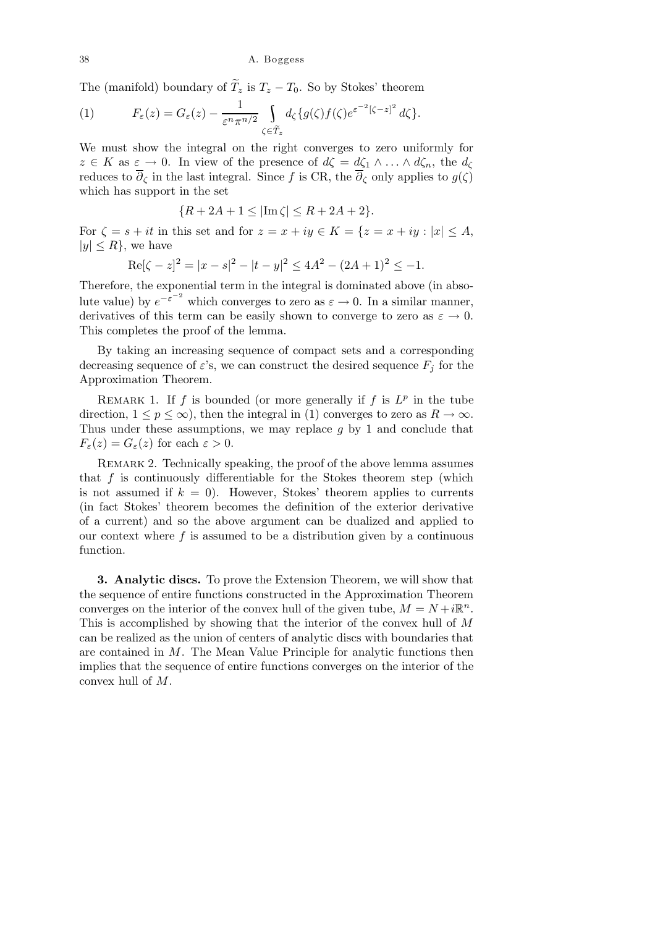38 A. Boggess

The (manifold) boundary of  $\widetilde{T}_z$  is  $T_z - T_0$ . So by Stokes' theorem

(1) 
$$
F_{\varepsilon}(z) = G_{\varepsilon}(z) - \frac{1}{\varepsilon^n \pi^{n/2}} \int_{\zeta \in \widetilde{T}_z} d_{\zeta} \{ g(\zeta) f(\zeta) e^{\varepsilon^{-2}[\zeta - z]^2} d\zeta \}.
$$

We must show the integral on the right converges to zero uniformly for  $z \in K$  as  $\varepsilon \to 0$ . In view of the presence of  $d\zeta = d\zeta_1 \wedge \ldots \wedge d\zeta_n$ , the  $d_{\zeta}$ reduces to  $\overline{\partial}_{\zeta}$  in the last integral. Since f is CR, the  $\overline{\partial}_{\zeta}$  only applies to  $g(\zeta)$ which has support in the set

$$
\{R + 2A + 1 \le |\text{Im }\zeta| \le R + 2A + 2\}.
$$

For  $\zeta = s + it$  in this set and for  $z = x + iy \in K = \{z = x + iy : |x| \leq A,$  $|y| \leq R$ , we have

$$
Re[\zeta - z]^2 = |x - s|^2 - |t - y|^2 \le 4A^2 - (2A + 1)^2 \le -1.
$$

Therefore, the exponential term in the integral is dominated above (in absolute value) by  $e^{-\varepsilon^{-2}}$  which converges to zero as  $\varepsilon \to 0$ . In a similar manner, derivatives of this term can be easily shown to converge to zero as  $\varepsilon \to 0$ . This completes the proof of the lemma.

By taking an increasing sequence of compact sets and a corresponding decreasing sequence of  $\varepsilon$ 's, we can construct the desired sequence  $F_j$  for the Approximation Theorem.

REMARK 1. If f is bounded (or more generally if f is  $L^p$  in the tube direction,  $1 \le p \le \infty$ ), then the integral in (1) converges to zero as  $R \to \infty$ . Thus under these assumptions, we may replace  $q$  by 1 and conclude that  $F_{\varepsilon}(z) = G_{\varepsilon}(z)$  for each  $\varepsilon > 0$ .

REMARK 2. Technically speaking, the proof of the above lemma assumes that  $f$  is continuously differentiable for the Stokes theorem step (which is not assumed if  $k = 0$ . However, Stokes' theorem applies to currents (in fact Stokes' theorem becomes the definition of the exterior derivative of a current) and so the above argument can be dualized and applied to our context where  $f$  is assumed to be a distribution given by a continuous function.

3. Analytic discs. To prove the Extension Theorem, we will show that the sequence of entire functions constructed in the Approximation Theorem converges on the interior of the convex hull of the given tube,  $M = N + i\mathbb{R}^n$ . This is accomplished by showing that the interior of the convex hull of M can be realized as the union of centers of analytic discs with boundaries that are contained in  $M$ . The Mean Value Principle for analytic functions then implies that the sequence of entire functions converges on the interior of the convex hull of M.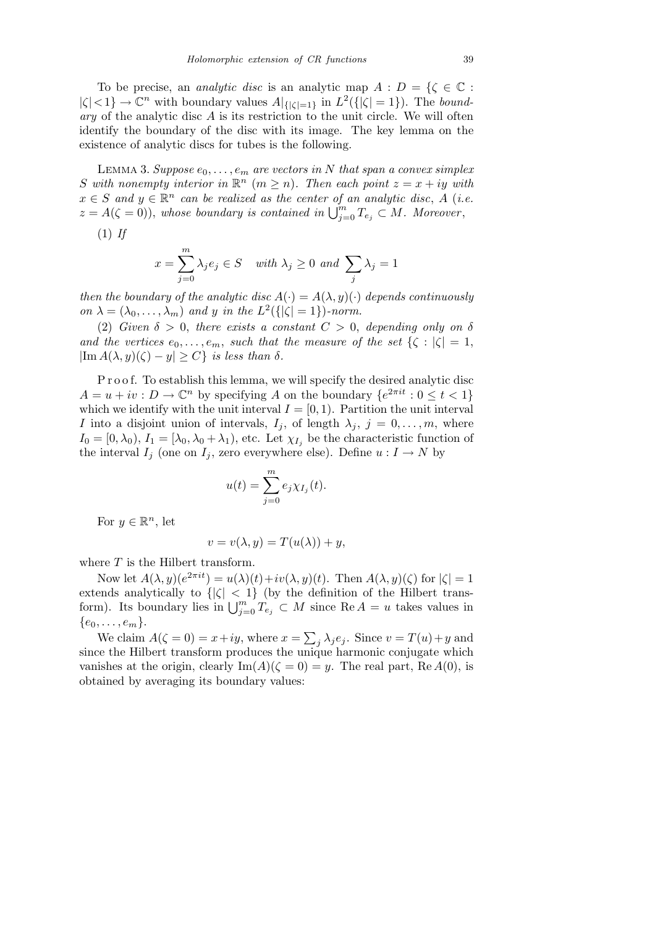To be precise, an *analytic disc* is an analytic map  $A : D = \{ \zeta \in \mathbb{C} :$  $|\zeta|<1$   $\rightarrow \mathbb{C}^n$  with boundary values  $A|_{\{|\zeta|=1\}}$  in  $L^2(\{|\zeta|=1\})$ . The bound $ary$  of the analytic disc  $A$  is its restriction to the unit circle. We will often identify the boundary of the disc with its image. The key lemma on the existence of analytic discs for tubes is the following.

LEMMA 3. Suppose  $e_0, \ldots, e_m$  are vectors in N that span a convex simplex S with nonempty interior in  $\mathbb{R}^n$   $(m \geq n)$ . Then each point  $z = x + iy$  with  $x \in S$  and  $y \in \mathbb{R}^n$  can be realized as the center of an analytic disc, A (i.e.  $z = A(\zeta = 0)$ , whose boundary is contained in  $\bigcup_{j=0}^{m} T_{e_j} \subset M$ . Moreover,

 $(1)$  If

$$
x = \sum_{j=0}^{m} \lambda_j e_j \in S \quad \text{with } \lambda_j \ge 0 \text{ and } \sum_j \lambda_j = 1
$$

then the boundary of the analytic disc  $A(\cdot) = A(\lambda, y)(\cdot)$  depends continuously on  $\lambda = (\lambda_0, \dots, \lambda_m)$  and y in the  $L^2({\vert \zeta \vert = 1})$ -norm.

(2) Given  $\delta > 0$ , there exists a constant  $C > 0$ , depending only on  $\delta$ and the vertices  $e_0, \ldots, e_m$ , such that the measure of the set  $\{\zeta : |\zeta| = 1,$  $|\text{Im }A(\lambda, y)(\zeta) - y| \geq C\}$  is less than  $\delta$ .

P r o o f. To establish this lemma, we will specify the desired analytic disc  $A = u + iv : D \to \mathbb{C}^n$  by specifying A on the boundary  $\{e^{2\pi i t} : 0 \le t < 1\}$ which we identify with the unit interval  $I = [0, 1)$ . Partition the unit interval I into a disjoint union of intervals,  $I_j$ , of length  $\lambda_j$ ,  $j = 0, \ldots, m$ , where  $I_0 = [0, \lambda_0), I_1 = [\lambda_0, \lambda_0 + \lambda_1),$  etc. Let  $\chi_{I_i}$  be the characteristic function of the interval  $I_j$  (one on  $I_j$ , zero everywhere else). Define  $u: I \to N$  by

$$
u(t) = \sum_{j=0}^{m} e_j \chi_{I_j}(t).
$$

For  $y \in \mathbb{R}^n$ , let

$$
v = v(\lambda, y) = T(u(\lambda)) + y,
$$

where  $T$  is the Hilbert transform.

Now let  $A(\lambda, y)(e^{2\pi it}) = u(\lambda)(t) + iv(\lambda, y)(t)$ . Then  $A(\lambda, y)(\zeta)$  for  $|\zeta| = 1$ extends analytically to  $\{|\zeta| < 1\}$  (by the definition of the Hilbert transform). Its boundary lies in  $\bigcup_{j=0}^m T_{e_j} \subset M$  since Re  $A = u$  takes values in  ${e_0,\ldots,e_m}.$ 

We claim  $A(\zeta = 0) = x + iy$ , where  $x = \sum_j \lambda_j e_j$ . Since  $v = T(u) + y$  and since the Hilbert transform produces the unique harmonic conjugate which vanishes at the origin, clearly  $\text{Im}(A)(\zeta = 0) = y$ . The real part, Re  $A(0)$ , is obtained by averaging its boundary values: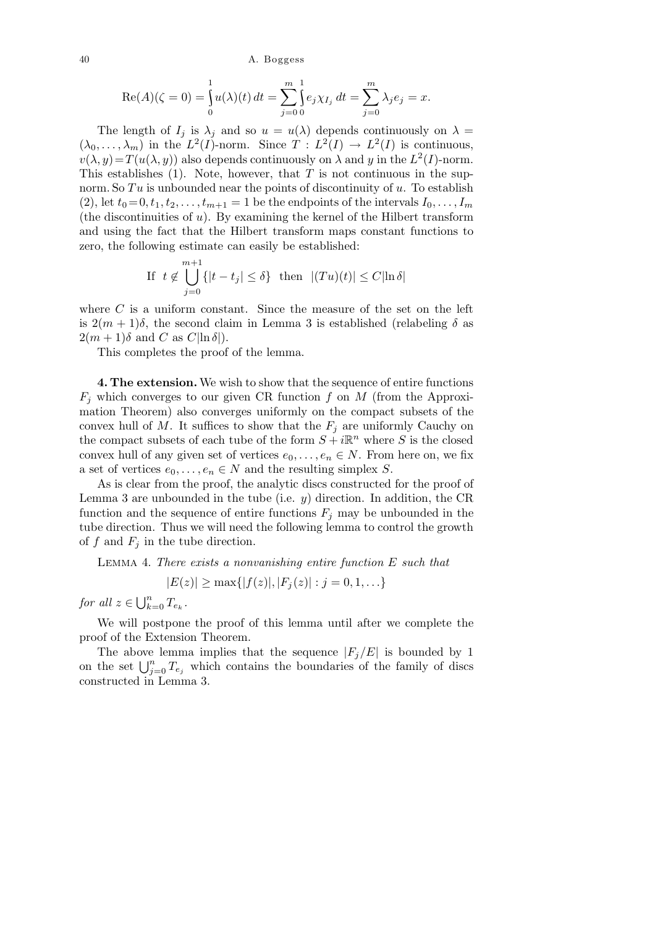40 A. Boggess

$$
\operatorname{Re}(A)(\zeta = 0) = \int_0^1 u(\lambda)(t) dt = \sum_{j=0}^{m} \int_0^1 e_j \chi_{I_j} dt = \sum_{j=0}^m \lambda_j e_j = x.
$$

The length of  $I_i$  is  $\lambda_i$  and so  $u = u(\lambda)$  depends continuously on  $\lambda =$  $(\lambda_0, \ldots, \lambda_m)$  in the  $L^2(I)$ -norm. Since  $T : L^2(I) \to L^2(I)$  is continuous,  $v(\lambda, y) = T(u(\lambda, y))$  also depends continuously on  $\lambda$  and y in the  $L^2(I)$ -norm. This establishes  $(1)$ . Note, however, that T is not continuous in the supnorm. So  $Tu$  is unbounded near the points of discontinuity of u. To establish (2), let  $t_0 = 0, t_1, t_2, \ldots, t_{m+1} = 1$  be the endpoints of the intervals  $I_0, \ldots, I_m$ (the discontinuities of  $u$ ). By examining the kernel of the Hilbert transform and using the fact that the Hilbert transform maps constant functions to zero, the following estimate can easily be established:

If 
$$
t \notin \bigcup_{j=0}^{m+1} \{|t - t_j| \le \delta\}
$$
 then  $|(Tu)(t)| \le C |\ln \delta|$ 

where  $C$  is a uniform constant. Since the measure of the set on the left is  $2(m+1)\delta$ , the second claim in Lemma 3 is established (relabeling  $\delta$  as  $2(m+1)\delta$  and C as  $C|\ln \delta|$ ).

This completes the proof of the lemma.

4. The extension.We wish to show that the sequence of entire functions  $F_i$  which converges to our given CR function f on M (from the Approximation Theorem) also converges uniformly on the compact subsets of the convex hull of M. It suffices to show that the  $F_j$  are uniformly Cauchy on the compact subsets of each tube of the form  $S + i\mathbb{R}^n$  where S is the closed convex hull of any given set of vertices  $e_0, \ldots, e_n \in N$ . From here on, we fix a set of vertices  $e_0, \ldots, e_n \in N$  and the resulting simplex S.

As is clear from the proof, the analytic discs constructed for the proof of Lemma 3 are unbounded in the tube (i.e.  $y$ ) direction. In addition, the CR function and the sequence of entire functions  $F_i$  may be unbounded in the tube direction. Thus we will need the following lemma to control the growth of f and  $F_i$  in the tube direction.

Lemma 4. There exists a nonvanishing entire function E such that

$$
|E(z)| \ge \max\{|f(z)|, |F_j(z)| : j = 0, 1, \ldots\}
$$

for all  $z \in \bigcup_{k=0}^{n} T_{e_k}$ .

We will postpone the proof of this lemma until after we complete the proof of the Extension Theorem.

The above lemma implies that the sequence  $|F_i/E|$  is bounded by 1 on the set  $\bigcup_{j=0}^n T_{e_j}$  which contains the boundaries of the family of discs constructed in Lemma 3.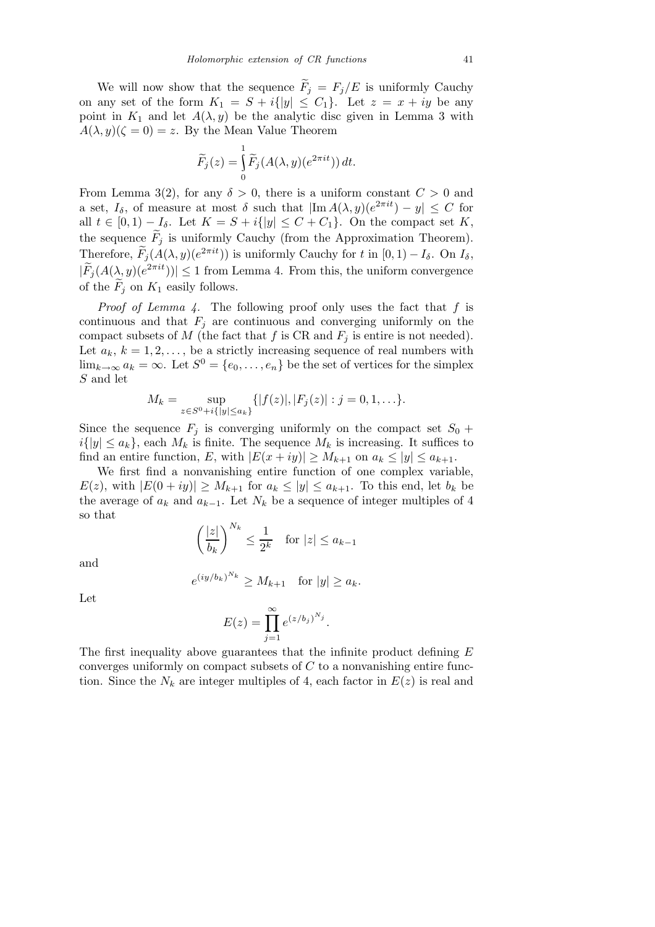We will now show that the sequence  $F_j = F_j/E$  is uniformly Cauchy on any set of the form  $K_1 = S + i{|y|} \leq C_1$ . Let  $z = x + iy$  be any point in  $K_1$  and let  $A(\lambda, y)$  be the analytic disc given in Lemma 3 with  $A(\lambda, y)(\zeta = 0) = z$ . By the Mean Value Theorem

$$
\widetilde{F}_j(z) = \int_0^1 \widetilde{F}_j(A(\lambda, y)(e^{2\pi i t})) dt.
$$

From Lemma 3(2), for any  $\delta > 0$ , there is a uniform constant  $C > 0$  and a set,  $I_{\delta}$ , of measure at most  $\delta$  such that  $|\text{Im }A(\lambda, y)(e^{2\pi i t}) - y| \leq C$  for all  $t \in [0,1)-I_{\delta}$ . Let  $K = S + i\{|y| \leq C + C_1\}$ . On the compact set K, the sequence  $F_i$  is uniformly Cauchy (from the Approximation Theorem). Therefore,  $F_j(A(\lambda, y)(e^{2\pi i t}))$  is uniformly Cauchy for t in  $[0, 1) - I_\delta$ . On  $I_\delta$ ,  $|\widetilde{F}_j(A(\lambda, y)(e^{2\pi i t}))| \leq 1$  from Lemma 4. From this, the uniform convergence of the  $F_i$  on  $K_1$  easily follows.

*Proof of Lemma 4.* The following proof only uses the fact that  $f$  is continuous and that  $F_i$  are continuous and converging uniformly on the compact subsets of M (the fact that f is CR and  $F_j$  is entire is not needed). Let  $a_k$ ,  $k = 1, 2, \ldots$ , be a strictly increasing sequence of real numbers with  $\lim_{k\to\infty} a_k = \infty$ . Let  $S^0 = \{e_0, \ldots, e_n\}$  be the set of vertices for the simplex S and let

$$
M_k = \sup_{z \in S^0 + i\{|y| \le a_k\}} \{|f(z)|, |F_j(z)| : j = 0, 1, \ldots\}.
$$

Since the sequence  $F_j$  is converging uniformly on the compact set  $S_0$  +  $i\{|y| \le a_k\}$ , each  $M_k$  is finite. The sequence  $M_k$  is increasing. It suffices to find an entire function, E, with  $|E(x+iy)| \ge M_{k+1}$  on  $a_k \le |y| \le a_{k+1}$ .

We first find a nonvanishing entire function of one complex variable,  $E(z)$ , with  $|E(0+iy)| \geq M_{k+1}$  for  $a_k \leq |y| \leq a_{k+1}$ . To this end, let  $b_k$  be the average of  $a_k$  and  $a_{k-1}$ . Let  $N_k$  be a sequence of integer multiples of 4 so that

$$
\left(\frac{|z|}{b_k}\right)^{N_k} \le \frac{1}{2^k} \quad \text{for } |z| \le a_{k-1}
$$

and

$$
e^{(iy/b_k)^{N_k}} \ge M_{k+1} \quad \text{for } |y| \ge a_k.
$$

Let

$$
E(z) = \prod_{j=1}^{\infty} e^{(z/b_j)^{N_j}}.
$$

The first inequality above guarantees that the infinite product defining E converges uniformly on compact subsets of  $C$  to a nonvanishing entire function. Since the  $N_k$  are integer multiples of 4, each factor in  $E(z)$  is real and